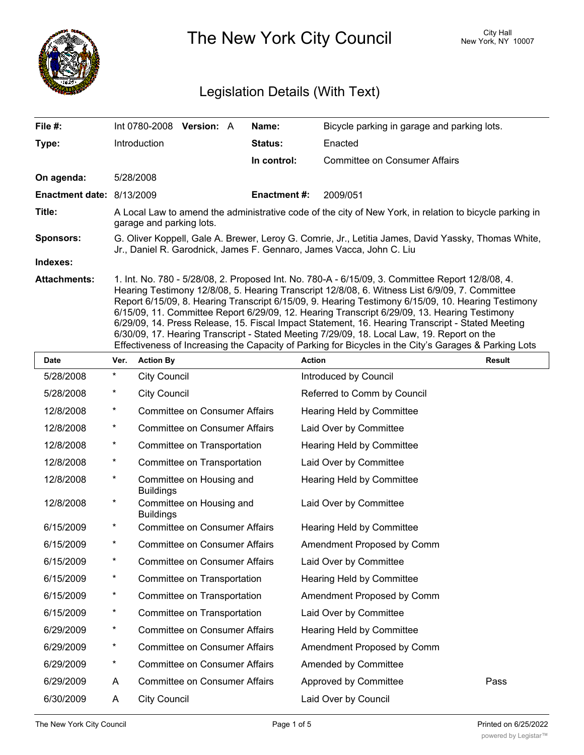

The New York City Council New York, NY 10007

## Legislation Details (With Text)

| File #:                   |                                                                                                                                                                                                                                                                                                                                                                                                                                                                                                                                                                                                                                                                                                                     |                     | Int 0780-2008 Version: A             |  | Name:              | Bicycle parking in garage and parking lots. |  |  |  |
|---------------------------|---------------------------------------------------------------------------------------------------------------------------------------------------------------------------------------------------------------------------------------------------------------------------------------------------------------------------------------------------------------------------------------------------------------------------------------------------------------------------------------------------------------------------------------------------------------------------------------------------------------------------------------------------------------------------------------------------------------------|---------------------|--------------------------------------|--|--------------------|---------------------------------------------|--|--|--|
| Type:                     |                                                                                                                                                                                                                                                                                                                                                                                                                                                                                                                                                                                                                                                                                                                     | Introduction        |                                      |  | <b>Status:</b>     | Enacted                                     |  |  |  |
|                           |                                                                                                                                                                                                                                                                                                                                                                                                                                                                                                                                                                                                                                                                                                                     |                     |                                      |  | In control:        | <b>Committee on Consumer Affairs</b>        |  |  |  |
| On agenda:                |                                                                                                                                                                                                                                                                                                                                                                                                                                                                                                                                                                                                                                                                                                                     | 5/28/2008           |                                      |  |                    |                                             |  |  |  |
| Enactment date: 8/13/2009 |                                                                                                                                                                                                                                                                                                                                                                                                                                                                                                                                                                                                                                                                                                                     |                     |                                      |  | <b>Enactment#:</b> | 2009/051                                    |  |  |  |
| Title:                    | A Local Law to amend the administrative code of the city of New York, in relation to bicycle parking in<br>garage and parking lots.                                                                                                                                                                                                                                                                                                                                                                                                                                                                                                                                                                                 |                     |                                      |  |                    |                                             |  |  |  |
| <b>Sponsors:</b>          | G. Oliver Koppell, Gale A. Brewer, Leroy G. Comrie, Jr., Letitia James, David Yassky, Thomas White,<br>Jr., Daniel R. Garodnick, James F. Gennaro, James Vacca, John C. Liu                                                                                                                                                                                                                                                                                                                                                                                                                                                                                                                                         |                     |                                      |  |                    |                                             |  |  |  |
| Indexes:                  |                                                                                                                                                                                                                                                                                                                                                                                                                                                                                                                                                                                                                                                                                                                     |                     |                                      |  |                    |                                             |  |  |  |
| <b>Attachments:</b>       | 1. Int. No. 780 - 5/28/08, 2. Proposed Int. No. 780-A - 6/15/09, 3. Committee Report 12/8/08, 4.<br>Hearing Testimony 12/8/08, 5. Hearing Transcript 12/8/08, 6. Witness List 6/9/09, 7. Committee<br>Report 6/15/09, 8. Hearing Transcript 6/15/09, 9. Hearing Testimony 6/15/09, 10. Hearing Testimony<br>6/15/09, 11. Committee Report 6/29/09, 12. Hearing Transcript 6/29/09, 13. Hearing Testimony<br>6/29/09, 14. Press Release, 15. Fiscal Impact Statement, 16. Hearing Transcript - Stated Meeting<br>6/30/09, 17. Hearing Transcript - Stated Meeting 7/29/09, 18. Local Law, 19. Report on the<br>Effectiveness of Increasing the Capacity of Parking for Bicycles in the City's Garages & Parking Lots |                     |                                      |  |                    |                                             |  |  |  |
| <b>Date</b>               | Ver.                                                                                                                                                                                                                                                                                                                                                                                                                                                                                                                                                                                                                                                                                                                | <b>Action By</b>    |                                      |  |                    | <b>Action</b><br><b>Result</b>              |  |  |  |
| 5/28/2008                 | *                                                                                                                                                                                                                                                                                                                                                                                                                                                                                                                                                                                                                                                                                                                   | <b>City Council</b> |                                      |  |                    | Introduced by Council                       |  |  |  |
| 5/28/2008                 | *                                                                                                                                                                                                                                                                                                                                                                                                                                                                                                                                                                                                                                                                                                                   | <b>City Council</b> |                                      |  |                    | Referred to Comm by Council                 |  |  |  |
| 12/8/2008                 | *                                                                                                                                                                                                                                                                                                                                                                                                                                                                                                                                                                                                                                                                                                                   |                     | <b>Committee on Consumer Affairs</b> |  |                    | <b>Hearing Held by Committee</b>            |  |  |  |
| 12/8/2008                 | *                                                                                                                                                                                                                                                                                                                                                                                                                                                                                                                                                                                                                                                                                                                   |                     | <b>Committee on Consumer Affairs</b> |  |                    | Laid Over by Committee                      |  |  |  |
| 12/8/2008                 | *                                                                                                                                                                                                                                                                                                                                                                                                                                                                                                                                                                                                                                                                                                                   |                     | Committee on Transportation          |  |                    | <b>Hearing Held by Committee</b>            |  |  |  |
| 12/8/2008                 | *                                                                                                                                                                                                                                                                                                                                                                                                                                                                                                                                                                                                                                                                                                                   |                     | Committee on Transportation          |  |                    | Laid Over by Committee                      |  |  |  |
| 12/8/2008                 | *                                                                                                                                                                                                                                                                                                                                                                                                                                                                                                                                                                                                                                                                                                                   | <b>Buildings</b>    | Committee on Housing and             |  |                    | <b>Hearing Held by Committee</b>            |  |  |  |
| 12/8/2008                 | *                                                                                                                                                                                                                                                                                                                                                                                                                                                                                                                                                                                                                                                                                                                   | <b>Buildings</b>    | Committee on Housing and             |  |                    | Laid Over by Committee                      |  |  |  |
| 6/15/2009                 | *                                                                                                                                                                                                                                                                                                                                                                                                                                                                                                                                                                                                                                                                                                                   |                     | <b>Committee on Consumer Affairs</b> |  |                    | Hearing Held by Committee                   |  |  |  |
| 6/15/2009                 | *                                                                                                                                                                                                                                                                                                                                                                                                                                                                                                                                                                                                                                                                                                                   |                     | <b>Committee on Consumer Affairs</b> |  |                    | Amendment Proposed by Comm                  |  |  |  |
| 6/15/2009                 | *                                                                                                                                                                                                                                                                                                                                                                                                                                                                                                                                                                                                                                                                                                                   |                     | <b>Committee on Consumer Affairs</b> |  |                    | Laid Over by Committee                      |  |  |  |
| 6/15/2009                 | *                                                                                                                                                                                                                                                                                                                                                                                                                                                                                                                                                                                                                                                                                                                   |                     | Committee on Transportation          |  |                    | Hearing Held by Committee                   |  |  |  |
| 6/15/2009                 | *                                                                                                                                                                                                                                                                                                                                                                                                                                                                                                                                                                                                                                                                                                                   |                     | Committee on Transportation          |  |                    | Amendment Proposed by Comm                  |  |  |  |
| 6/15/2009                 | *                                                                                                                                                                                                                                                                                                                                                                                                                                                                                                                                                                                                                                                                                                                   |                     | Committee on Transportation          |  |                    | Laid Over by Committee                      |  |  |  |
| 6/29/2009                 | *                                                                                                                                                                                                                                                                                                                                                                                                                                                                                                                                                                                                                                                                                                                   |                     | <b>Committee on Consumer Affairs</b> |  |                    | Hearing Held by Committee                   |  |  |  |
| 6/29/2009                 | *                                                                                                                                                                                                                                                                                                                                                                                                                                                                                                                                                                                                                                                                                                                   |                     | <b>Committee on Consumer Affairs</b> |  |                    | Amendment Proposed by Comm                  |  |  |  |
| 6/29/2009                 | *                                                                                                                                                                                                                                                                                                                                                                                                                                                                                                                                                                                                                                                                                                                   |                     | <b>Committee on Consumer Affairs</b> |  |                    | Amended by Committee                        |  |  |  |

6/29/2009 A Committee on Consumer Affairs Approved by Committee Pass 6/30/2009 A City Council Laid Over by Council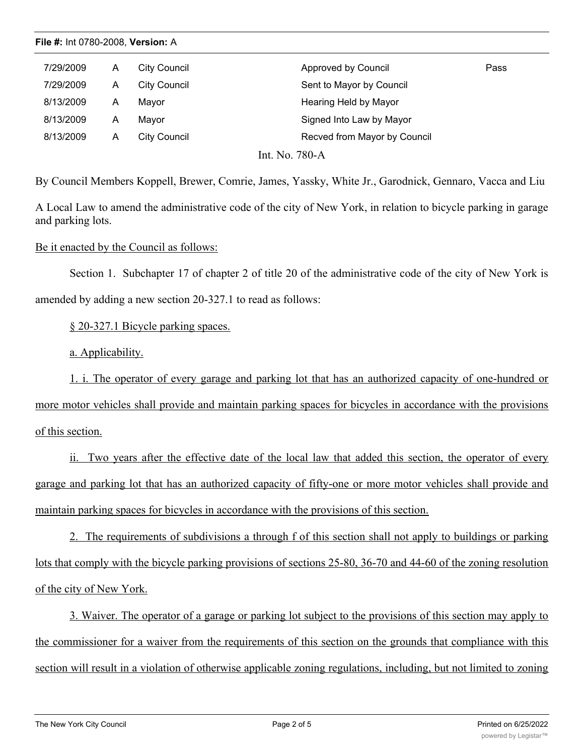| 7/29/2009                            | А | City Council | Approved by Council          | Pass |  |  |  |  |
|--------------------------------------|---|--------------|------------------------------|------|--|--|--|--|
| 7/29/2009                            | А | City Council | Sent to Mayor by Council     |      |  |  |  |  |
| 8/13/2009                            | А | Mavor        | Hearing Held by Mayor        |      |  |  |  |  |
| 8/13/2009                            | А | Mavor        | Signed Into Law by Mayor     |      |  |  |  |  |
| 8/13/2009                            | А | City Council | Recved from Mayor by Council |      |  |  |  |  |
| $\pi$ <sup>1</sup><br>T . <b>A</b> T |   |              |                              |      |  |  |  |  |

Int. No. 780-A

By Council Members Koppell, Brewer, Comrie, James, Yassky, White Jr., Garodnick, Gennaro, Vacca and Liu

A Local Law to amend the administrative code of the city of New York, in relation to bicycle parking in garage and parking lots.

Be it enacted by the Council as follows:

Section 1. Subchapter 17 of chapter 2 of title 20 of the administrative code of the city of New York is amended by adding a new section 20-327.1 to read as follows:

§ 20-327.1 Bicycle parking spaces.

a. Applicability.

1. i. The operator of every garage and parking lot that has an authorized capacity of one-hundred or more motor vehicles shall provide and maintain parking spaces for bicycles in accordance with the provisions of this section.

ii. Two years after the effective date of the local law that added this section, the operator of every garage and parking lot that has an authorized capacity of fifty-one or more motor vehicles shall provide and maintain parking spaces for bicycles in accordance with the provisions of this section.

2. The requirements of subdivisions a through f of this section shall not apply to buildings or parking lots that comply with the bicycle parking provisions of sections 25-80, 36-70 and 44-60 of the zoning resolution of the city of New York.

3. Waiver. The operator of a garage or parking lot subject to the provisions of this section may apply to the commissioner for a waiver from the requirements of this section on the grounds that compliance with this section will result in a violation of otherwise applicable zoning regulations, including, but not limited to zoning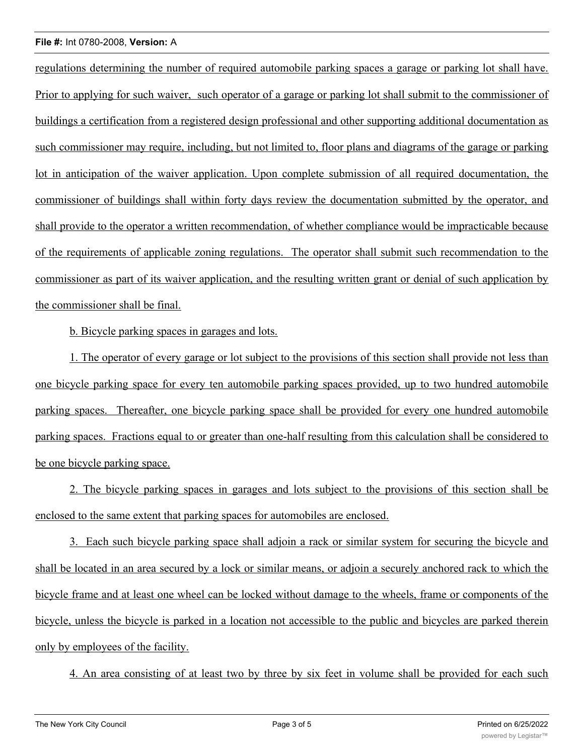## **File #:** Int 0780-2008, **Version:** A

regulations determining the number of required automobile parking spaces a garage or parking lot shall have. Prior to applying for such waiver, such operator of a garage or parking lot shall submit to the commissioner of buildings a certification from a registered design professional and other supporting additional documentation as such commissioner may require, including, but not limited to, floor plans and diagrams of the garage or parking lot in anticipation of the waiver application. Upon complete submission of all required documentation, the commissioner of buildings shall within forty days review the documentation submitted by the operator, and shall provide to the operator a written recommendation, of whether compliance would be impracticable because of the requirements of applicable zoning regulations. The operator shall submit such recommendation to the commissioner as part of its waiver application, and the resulting written grant or denial of such application by the commissioner shall be final.

b. Bicycle parking spaces in garages and lots.

1. The operator of every garage or lot subject to the provisions of this section shall provide not less than one bicycle parking space for every ten automobile parking spaces provided, up to two hundred automobile parking spaces. Thereafter, one bicycle parking space shall be provided for every one hundred automobile parking spaces. Fractions equal to or greater than one-half resulting from this calculation shall be considered to be one bicycle parking space.

2. The bicycle parking spaces in garages and lots subject to the provisions of this section shall be enclosed to the same extent that parking spaces for automobiles are enclosed.

3. Each such bicycle parking space shall adjoin a rack or similar system for securing the bicycle and shall be located in an area secured by a lock or similar means, or adjoin a securely anchored rack to which the bicycle frame and at least one wheel can be locked without damage to the wheels, frame or components of the bicycle, unless the bicycle is parked in a location not accessible to the public and bicycles are parked therein only by employees of the facility.

4. An area consisting of at least two by three by six feet in volume shall be provided for each such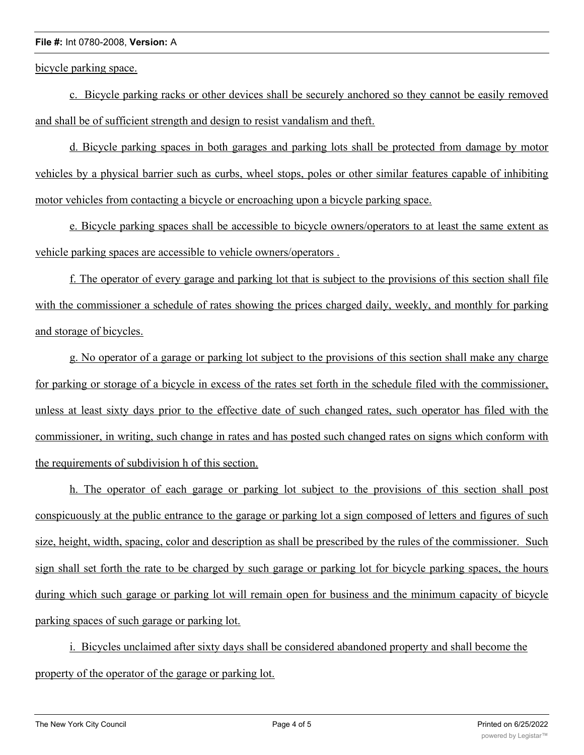## **File #:** Int 0780-2008, **Version:** A

bicycle parking space.

c. Bicycle parking racks or other devices shall be securely anchored so they cannot be easily removed and shall be of sufficient strength and design to resist vandalism and theft.

d. Bicycle parking spaces in both garages and parking lots shall be protected from damage by motor vehicles by a physical barrier such as curbs, wheel stops, poles or other similar features capable of inhibiting motor vehicles from contacting a bicycle or encroaching upon a bicycle parking space.

e. Bicycle parking spaces shall be accessible to bicycle owners/operators to at least the same extent as vehicle parking spaces are accessible to vehicle owners/operators .

f. The operator of every garage and parking lot that is subject to the provisions of this section shall file with the commissioner a schedule of rates showing the prices charged daily, weekly, and monthly for parking and storage of bicycles.

g. No operator of a garage or parking lot subject to the provisions of this section shall make any charge for parking or storage of a bicycle in excess of the rates set forth in the schedule filed with the commissioner, unless at least sixty days prior to the effective date of such changed rates, such operator has filed with the commissioner, in writing, such change in rates and has posted such changed rates on signs which conform with the requirements of subdivision h of this section.

h. The operator of each garage or parking lot subject to the provisions of this section shall post conspicuously at the public entrance to the garage or parking lot a sign composed of letters and figures of such size, height, width, spacing, color and description as shall be prescribed by the rules of the commissioner. Such sign shall set forth the rate to be charged by such garage or parking lot for bicycle parking spaces, the hours during which such garage or parking lot will remain open for business and the minimum capacity of bicycle parking spaces of such garage or parking lot.

i. Bicycles unclaimed after sixty days shall be considered abandoned property and shall become the property of the operator of the garage or parking lot.